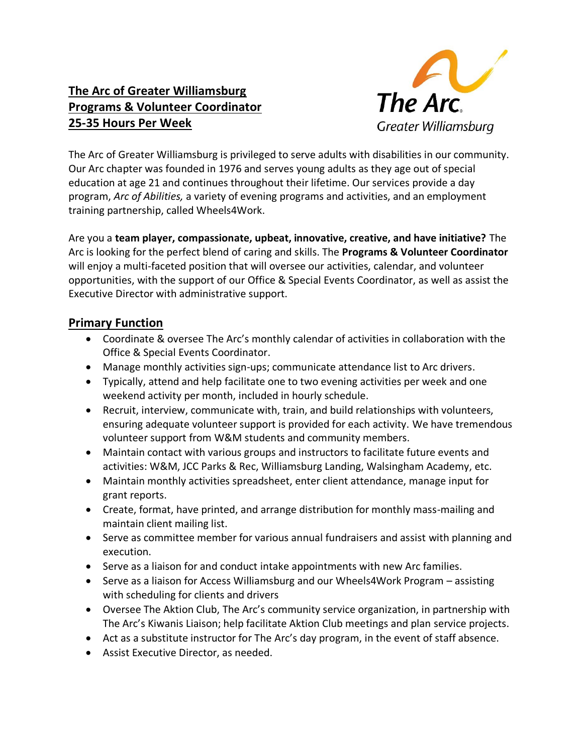# **The Arc of Greater Williamsburg Programs & Volunteer Coordinator 25-35 Hours Per Week**



The Arc of Greater Williamsburg is privileged to serve adults with disabilities in our community. Our Arc chapter was founded in 1976 and serves young adults as they age out of special education at age 21 and continues throughout their lifetime. Our services provide a day program, *Arc of Abilities,* a variety of evening programs and activities, and an employment training partnership, called Wheels4Work.

Are you a **team player, compassionate, upbeat, innovative, creative, and have initiative?** The Arc is looking for the perfect blend of caring and skills. The **Programs & Volunteer Coordinator** will enjoy a multi-faceted position that will oversee our activities, calendar, and volunteer opportunities, with the support of our Office & Special Events Coordinator, as well as assist the Executive Director with administrative support.

## **Primary Function**

- Coordinate & oversee The Arc's monthly calendar of activities in collaboration with the Office & Special Events Coordinator.
- Manage monthly activities sign-ups; communicate attendance list to Arc drivers.
- Typically, attend and help facilitate one to two evening activities per week and one weekend activity per month, included in hourly schedule.
- Recruit, interview, communicate with, train, and build relationships with volunteers, ensuring adequate volunteer support is provided for each activity. We have tremendous volunteer support from W&M students and community members.
- Maintain contact with various groups and instructors to facilitate future events and activities: W&M, JCC Parks & Rec, Williamsburg Landing, Walsingham Academy, etc.
- Maintain monthly activities spreadsheet, enter client attendance, manage input for grant reports.
- Create, format, have printed, and arrange distribution for monthly mass-mailing and maintain client mailing list.
- Serve as committee member for various annual fundraisers and assist with planning and execution.
- Serve as a liaison for and conduct intake appointments with new Arc families.
- Serve as a liaison for Access Williamsburg and our Wheels4Work Program assisting with scheduling for clients and drivers
- Oversee The Aktion Club, The Arc's community service organization, in partnership with The Arc's Kiwanis Liaison; help facilitate Aktion Club meetings and plan service projects.
- Act as a substitute instructor for The Arc's day program, in the event of staff absence.
- Assist Executive Director, as needed.